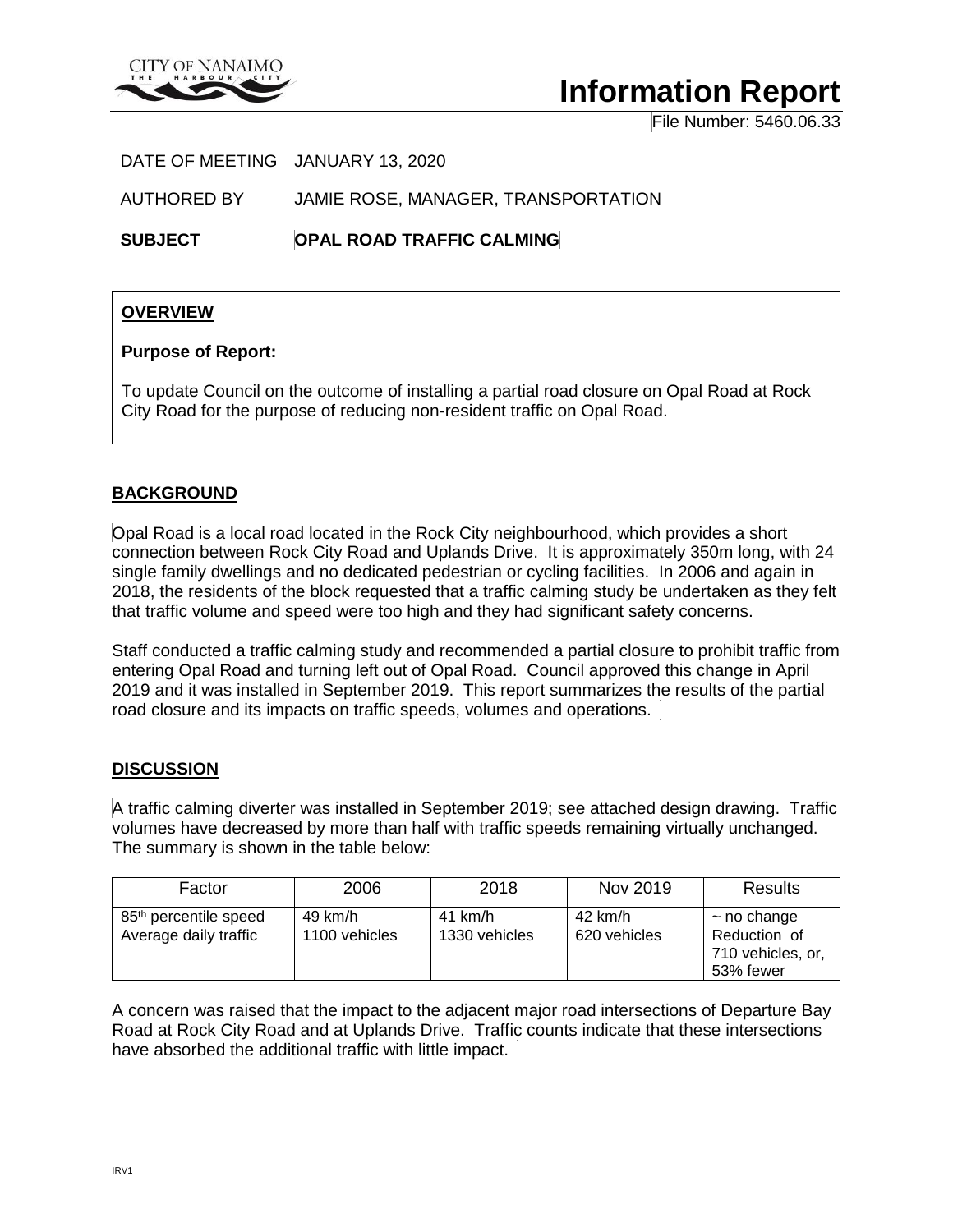

# **Information Report**

File Number: 5460.06.33

DATE OF MEETING JANUARY 13, 2020

AUTHORED BY JAMIE ROSE, MANAGER, TRANSPORTATION

**SUBJECT OPAL ROAD TRAFFIC CALMING**

## **OVERVIEW**

## **Purpose of Report:**

To update Council on the outcome of installing a partial road closure on Opal Road at Rock City Road for the purpose of reducing non-resident traffic on Opal Road.

## **BACKGROUND**

Opal Road is a local road located in the Rock City neighbourhood, which provides a short connection between Rock City Road and Uplands Drive. It is approximately 350m long, with 24 single family dwellings and no dedicated pedestrian or cycling facilities. In 2006 and again in 2018, the residents of the block requested that a traffic calming study be undertaken as they felt that traffic volume and speed were too high and they had significant safety concerns.

Staff conducted a traffic calming study and recommended a partial closure to prohibit traffic from entering Opal Road and turning left out of Opal Road. Council approved this change in April 2019 and it was installed in September 2019. This report summarizes the results of the partial road closure and its impacts on traffic speeds, volumes and operations.

#### **DISCUSSION**

A traffic calming diverter was installed in September 2019; see attached design drawing. Traffic volumes have decreased by more than half with traffic speeds remaining virtually unchanged. The summary is shown in the table below:

| Factor                            | 2006          | 2018          | Nov 2019          | <b>Results</b>                                 |
|-----------------------------------|---------------|---------------|-------------------|------------------------------------------------|
| 85 <sup>th</sup> percentile speed | 49 km/h       | 41 km/h       | $42 \text{ km/h}$ | $\sim$ no change                               |
| Average daily traffic             | 1100 vehicles | 1330 vehicles | 620 vehicles      | Reduction of<br>710 vehicles, or,<br>53% fewer |

A concern was raised that the impact to the adjacent major road intersections of Departure Bay Road at Rock City Road and at Uplands Drive. Traffic counts indicate that these intersections have absorbed the additional traffic with little impact.